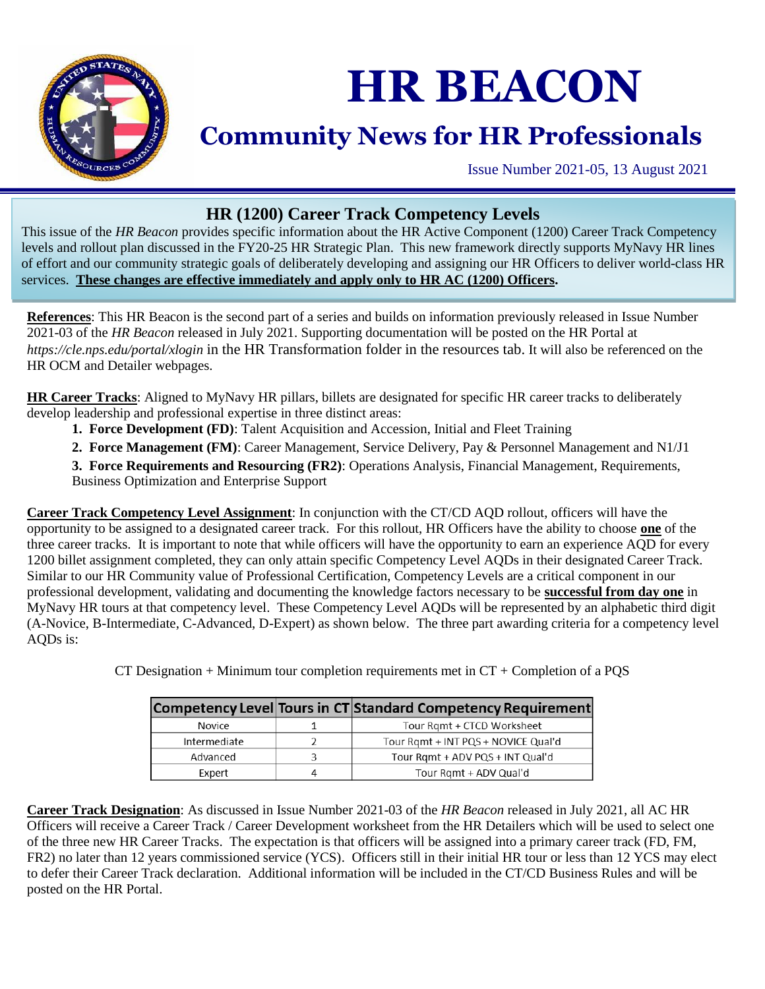

## **HR BEACON**

## **Community News for HR Professionals**

Issue Number 2021-05, 13 August 2021

## **HR (1200) Career Track Competency Levels**

This issue of the *HR Beacon* provides specific information about the HR Active Component (1200) Career Track Competency levels and rollout plan discussed in the FY20-25 HR Strategic Plan. This new framework directly supports MyNavy HR lines of effort and our community strategic goals of deliberately developing and assigning our HR Officers to deliver world-class HR services. **These changes are effective immediately and apply only to HR AC (1200) Officers.**

**References**: This HR Beacon is the second part of a series and builds on information previously released in Issue Number 2021-03 of the *HR Beacon* released in July 2021. Supporting documentation will be posted on the HR Portal at *https://cle.nps.edu/portal/xlogin* in the HR Transformation folder in the resources tab. It will also be referenced on the HR OCM and Detailer webpages.

**HR Career Tracks**: Aligned to MyNavy HR pillars, billets are designated for specific HR career tracks to deliberately develop leadership and professional expertise in three distinct areas:

- **1. Force Development (FD)**: Talent Acquisition and Accession, Initial and Fleet Training
- **2. Force Management (FM)**: Career Management, Service Delivery, Pay & Personnel Management and N1/J1

**3. Force Requirements and Resourcing (FR2)**: Operations Analysis, Financial Management, Requirements, Business Optimization and Enterprise Support

**Career Track Competency Level Assignment**: In conjunction with the CT/CD AQD rollout, officers will have the opportunity to be assigned to a designated career track. For this rollout, HR Officers have the ability to choose **one** of the three career tracks. It is important to note that while officers will have the opportunity to earn an experience AQD for every 1200 billet assignment completed, they can only attain specific Competency Level AQDs in their designated Career Track. Similar to our HR Community value of Professional Certification, Competency Levels are a critical component in our professional development, validating and documenting the knowledge factors necessary to be **successful from day one** in MyNavy HR tours at that competency level. These Competency Level AQDs will be represented by an alphabetic third digit (A-Novice, B-Intermediate, C-Advanced, D-Expert) as shown below. The three part awarding criteria for a competency level AQDs is:

|              | Competency Level Tours in CT Standard Competency Requirement |
|--------------|--------------------------------------------------------------|
| Novice       | Tour Ramt + CTCD Worksheet                                   |
| Intermediate | Tour Rqmt + INT PQS + NOVICE Qual'd                          |
| Advanced     | Tour Rgmt + ADV PQS + INT Qual'd                             |
| Expert       | Tour Rgmt + ADV Qual'd                                       |

CT Designation  $+$  Minimum tour completion requirements met in  $CT +$  Completion of a PQS

**Career Track Designation**: As discussed in Issue Number 2021-03 of the *HR Beacon* released in July 2021, all AC HR Officers will receive a Career Track / Career Development worksheet from the HR Detailers which will be used to select one of the three new HR Career Tracks. The expectation is that officers will be assigned into a primary career track (FD, FM, FR2) no later than 12 years commissioned service (YCS). Officers still in their initial HR tour or less than 12 YCS may elect to defer their Career Track declaration. Additional information will be included in the CT/CD Business Rules and will be posted on the HR Portal.